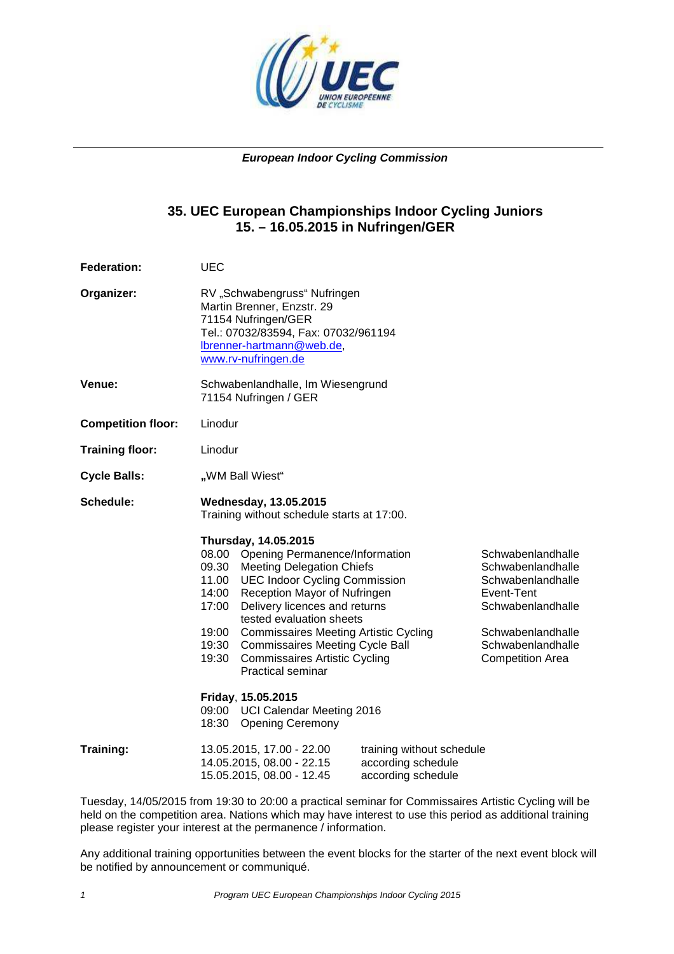

#### **European Indoor Cycling Commission**

# **35. UEC European Championships Indoor Cycling Juniors 15. – 16.05.2015 in Nufringen/GER**

| <b>Federation:</b>        | <b>UEC</b>                                                                                                                                                                                                                                                                                                                                                                                                                                                                                                                                                                                                                                |  |  |  |  |  |
|---------------------------|-------------------------------------------------------------------------------------------------------------------------------------------------------------------------------------------------------------------------------------------------------------------------------------------------------------------------------------------------------------------------------------------------------------------------------------------------------------------------------------------------------------------------------------------------------------------------------------------------------------------------------------------|--|--|--|--|--|
| Organizer:                | RV "Schwabengruss" Nufringen<br>Martin Brenner, Enzstr. 29<br>71154 Nufringen/GER<br>Tel.: 07032/83594, Fax: 07032/961194<br>lbrenner-hartmann@web.de,<br>www.rv-nufringen.de                                                                                                                                                                                                                                                                                                                                                                                                                                                             |  |  |  |  |  |
| Venue:                    | Schwabenlandhalle, Im Wiesengrund<br>71154 Nufringen / GER                                                                                                                                                                                                                                                                                                                                                                                                                                                                                                                                                                                |  |  |  |  |  |
| <b>Competition floor:</b> | Linodur                                                                                                                                                                                                                                                                                                                                                                                                                                                                                                                                                                                                                                   |  |  |  |  |  |
| <b>Training floor:</b>    | Linodur                                                                                                                                                                                                                                                                                                                                                                                                                                                                                                                                                                                                                                   |  |  |  |  |  |
| <b>Cycle Balls:</b>       | "WM Ball Wiest"                                                                                                                                                                                                                                                                                                                                                                                                                                                                                                                                                                                                                           |  |  |  |  |  |
| Schedule:                 | <b>Wednesday, 13.05.2015</b><br>Training without schedule starts at 17:00.                                                                                                                                                                                                                                                                                                                                                                                                                                                                                                                                                                |  |  |  |  |  |
|                           | Thursday, 14.05.2015<br>08.00 Opening Permanence/Information<br>Schwabenlandhalle<br>09.30<br><b>Meeting Delegation Chiefs</b><br>Schwabenlandhalle<br>11.00<br><b>UEC Indoor Cycling Commission</b><br>Schwabenlandhalle<br>Event-Tent<br>14:00<br>Reception Mayor of Nufringen<br>Delivery licences and returns<br>Schwabenlandhalle<br>17:00<br>tested evaluation sheets<br>19:00<br><b>Commissaires Meeting Artistic Cycling</b><br>Schwabenlandhalle<br>Schwabenlandhalle<br>19:30<br><b>Commissaires Meeting Cycle Ball</b><br>19:30<br><b>Commissaires Artistic Cycling</b><br><b>Competition Area</b><br><b>Practical seminar</b> |  |  |  |  |  |
|                           | Friday, 15.05.2015<br>09:00 UCI Calendar Meeting 2016<br>18:30 Opening Ceremony                                                                                                                                                                                                                                                                                                                                                                                                                                                                                                                                                           |  |  |  |  |  |
| Training:                 | 13.05.2015, 17.00 - 22.00<br>training without schedule<br>according schedule<br>14.05.2015, 08.00 - 22.15<br>15.05.2015, 08.00 - 12.45<br>according schedule                                                                                                                                                                                                                                                                                                                                                                                                                                                                              |  |  |  |  |  |

Tuesday, 14/05/2015 from 19:30 to 20:00 a practical seminar for Commissaires Artistic Cycling will be held on the competition area. Nations which may have interest to use this period as additional training please register your interest at the permanence / information.

Any additional training opportunities between the event blocks for the starter of the next event block will be notified by announcement or communiqué.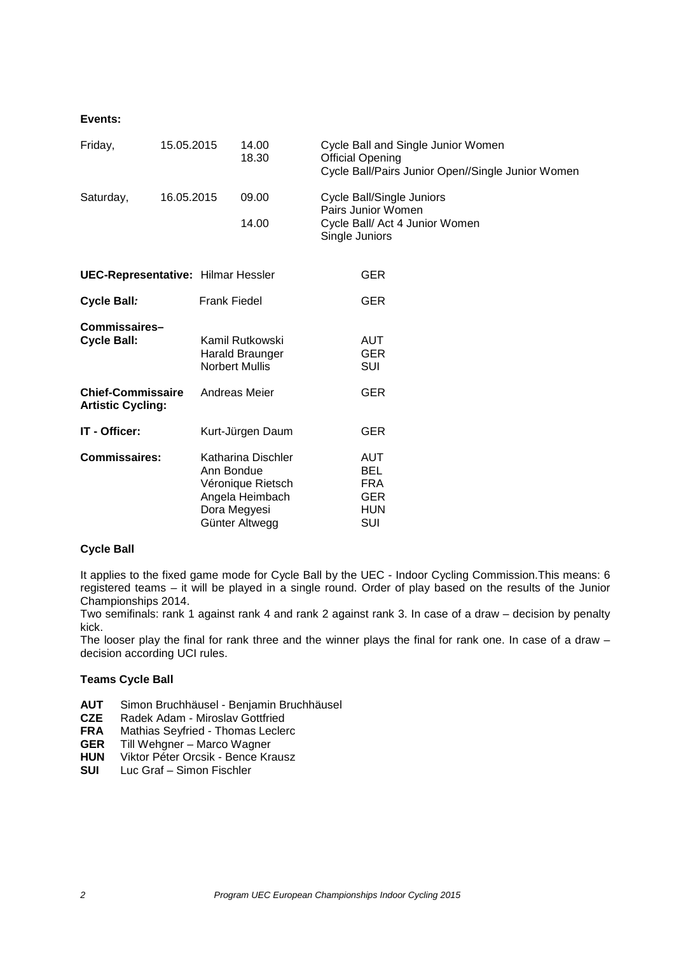#### **Events:**

| Friday,                                              | 15.05.2015 |                            | 14.00<br>18.30                                                               |                | Cycle Ball and Single Junior Women<br><b>Official Opening</b><br>Cycle Ball/Pairs Junior Open//Single Junior Women |
|------------------------------------------------------|------------|----------------------------|------------------------------------------------------------------------------|----------------|--------------------------------------------------------------------------------------------------------------------|
| Saturday,                                            | 16.05.2015 |                            | 09.00<br>14.00                                                               | Single Juniors | Cycle Ball/Single Juniors<br>Pairs Junior Women<br>Cycle Ball/ Act 4 Junior Women                                  |
| <b>UEC-Representative: Hilmar Hessler</b>            |            |                            |                                                                              |                | <b>GER</b>                                                                                                         |
| Cycle Ball:                                          |            | <b>Frank Fiedel</b>        |                                                                              |                | GER                                                                                                                |
| Commissaires-<br><b>Cycle Ball:</b>                  |            | <b>Norbert Mullis</b>      | Kamil Rutkowski<br>Harald Braunger                                           |                | <b>AUT</b><br><b>GER</b><br>SUI                                                                                    |
| <b>Chief-Commissaire</b><br><b>Artistic Cycling:</b> |            |                            | Andreas Meier                                                                |                | <b>GER</b>                                                                                                         |
| IT - Officer:                                        |            |                            | Kurt-Jürgen Daum                                                             |                | <b>GER</b>                                                                                                         |
| <b>Commissaires:</b>                                 |            | Ann Bondue<br>Dora Megyesi | Katharina Dischler<br>Véronique Rietsch<br>Angela Heimbach<br>Günter Altwegg |                | <b>AUT</b><br>BEL<br><b>FRA</b><br><b>GER</b><br><b>HUN</b><br>SUI                                                 |

#### **Cycle Ball**

It applies to the fixed game mode for Cycle Ball by the UEC - Indoor Cycling Commission.This means: 6 registered teams – it will be played in a single round. Order of play based on the results of the Junior Championships 2014.

Two semifinals: rank 1 against rank 4 and rank 2 against rank 3. In case of a draw – decision by penalty kick.

The looser play the final for rank three and the winner plays the final for rank one. In case of a draw decision according UCI rules.

#### **Teams Cycle Ball**

- **AUT** Simon Bruchhäusel Benjamin Bruchhäusel
- **CZE** Radek Adam Miroslav Gottfried
- **FRA** Mathias Seyfried Thomas Leclerc
- **GER** Till Wehgner Marco Wagner
- **HUN** Viktor Péter Orcsik Bence Krausz
- **SUI** Luc Graf Simon Fischler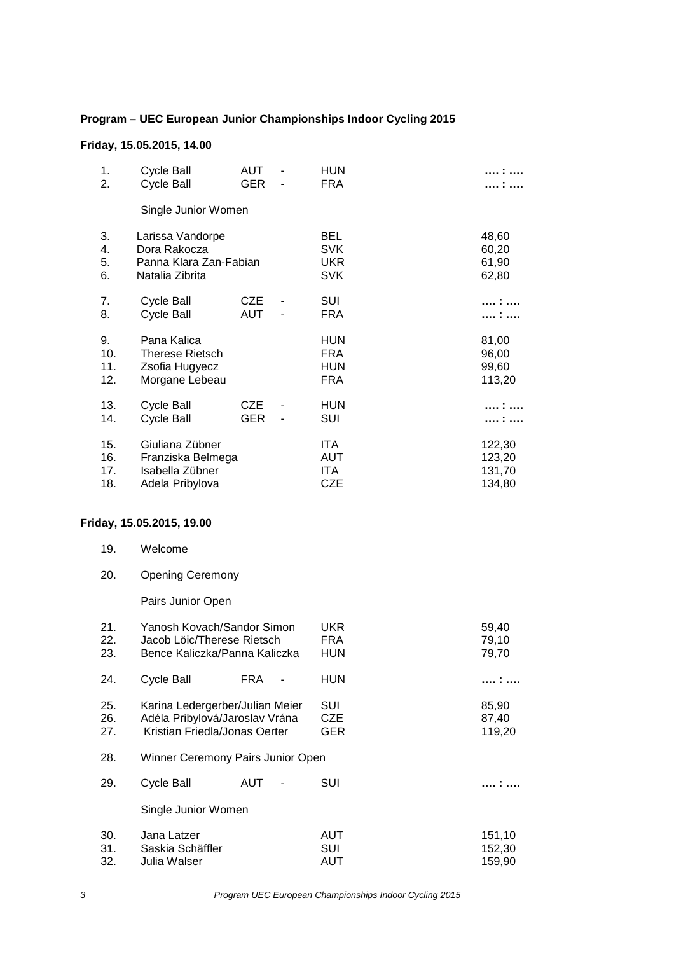## **Program – UEC European Junior Championships Indoor Cycling 2015**

## **Friday, 15.05.2015, 14.00**

| 1.<br>2.                 | Cycle Ball<br><b>Cycle Ball</b>                                               | AUT<br><b>GER</b>        |   | <b>HUN</b><br><b>FRA</b>                             |                                      |
|--------------------------|-------------------------------------------------------------------------------|--------------------------|---|------------------------------------------------------|--------------------------------------|
|                          | Single Junior Women                                                           |                          |   |                                                      |                                      |
| 3.<br>4.<br>5.<br>6.     | Larissa Vandorpe<br>Dora Rakocza<br>Panna Klara Zan-Fabian<br>Natalia Zibrita |                          |   | <b>BEL</b><br><b>SVK</b><br><b>UKR</b><br><b>SVK</b> | 48,60<br>60,20<br>61,90<br>62,80     |
| 7.<br>8.                 | Cycle Ball<br>Cycle Ball                                                      | <b>CZE</b><br><b>AUT</b> | - | <b>SUI</b><br><b>FRA</b>                             |                                      |
| 9.<br>10.<br>11.<br>12.  | Pana Kalica<br><b>Therese Rietsch</b><br>Zsofia Hugyecz<br>Morgane Lebeau     |                          |   | <b>HUN</b><br><b>FRA</b><br><b>HUN</b><br><b>FRA</b> | 81,00<br>96,00<br>99,60<br>113,20    |
| 13.<br>14.               | Cycle Ball<br><b>Cycle Ball</b>                                               | CZE<br><b>GER</b>        | - | <b>HUN</b><br><b>SUI</b>                             | .                                    |
| 15.<br>16.<br>17.<br>18. | Giuliana Zübner<br>Franziska Belmega<br>Isabella Zübner<br>Adela Pribylova    |                          |   | ITA.<br>AUT<br>ITA.<br><b>CZE</b>                    | 122,30<br>123,20<br>131,70<br>134,80 |

## **Friday, 15.05.2015, 19.00**

| 19. | Welcome |  |
|-----|---------|--|
|     |         |  |

20. Opening Ceremony

Pairs Junior Open

| 21.<br>22.<br>23. | Yanosh Kovach/Sandor Simon<br>Jacob Löic/Therese Rietsch<br>Bence Kaliczka/Panna Kaliczka          | UKR<br>FRA<br>HUN        | 59,40<br>79,10<br>79,70    |
|-------------------|----------------------------------------------------------------------------------------------------|--------------------------|----------------------------|
| 24.               | Cycle Ball<br><b>FRA</b>                                                                           | HUN                      |                            |
| 25.<br>26.<br>27. | Karina Ledergerber/Julian Meier<br>Adéla Pribylová/Jaroslav Vrána<br>Kristian Friedla/Jonas Oerter | SUI<br><b>CZE</b><br>GER | 85,90<br>87,40<br>119,20   |
| 28.               | Winner Ceremony Pairs Junior Open                                                                  |                          |                            |
| 29.               | Cycle Ball<br>AUT                                                                                  | SUI                      |                            |
|                   | Single Junior Women                                                                                |                          |                            |
| 30.<br>31.<br>32. | Jana Latzer<br>Saskia Schäffler<br>Julia Walser                                                    | AUT<br>SUI<br>AUT        | 151,10<br>152,30<br>159,90 |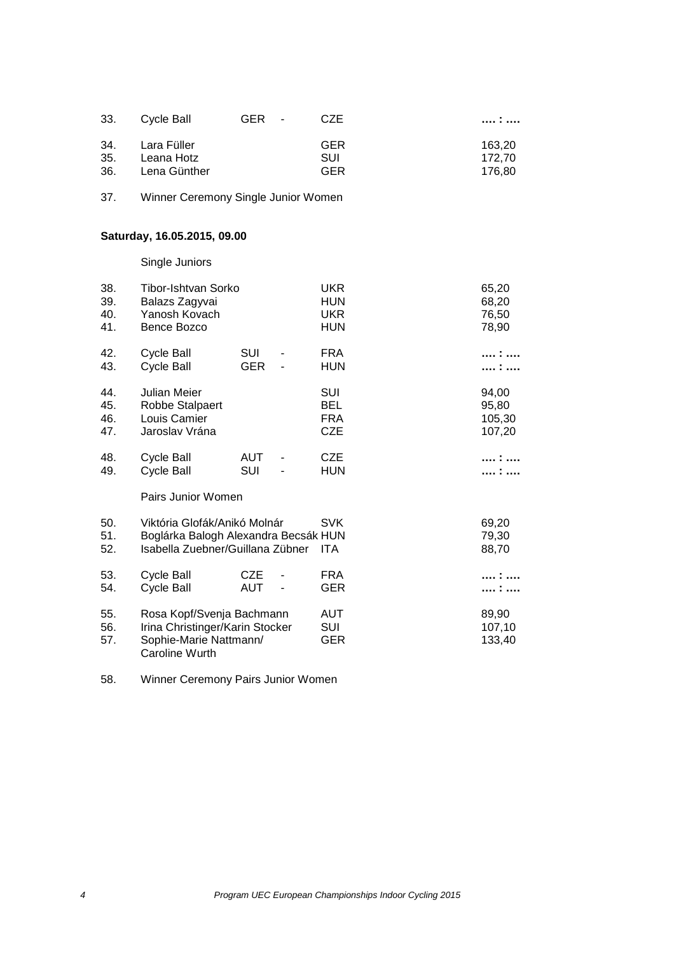| 33. | Cvcle Ball   | GER - | CZE        | .      |
|-----|--------------|-------|------------|--------|
| 34. | Lara Füller  |       | <b>GER</b> | 163.20 |
| 35. | Leana Hotz   |       | SUI        | 172.70 |
| 36. | Lena Günther |       | <b>GER</b> | 176.80 |

37. Winner Ceremony Single Junior Women

# **Saturday, 16.05.2015, 09.00**

Single Juniors

| 38.<br>39.<br>40.<br>41. | Tibor-Ishtvan Sorko<br>Balazs Zagyvai<br>Yanosh Kovach<br>Bence Bozco                                    |                          | UKR<br>HUN<br><b>UKR</b><br>HUN               | 65,20<br>68,20<br>76,50<br>78,90   |
|--------------------------|----------------------------------------------------------------------------------------------------------|--------------------------|-----------------------------------------------|------------------------------------|
| 42.<br>43.               | Cycle Ball<br>Cycle Ball                                                                                 | <b>SUI</b><br><b>GER</b> | <b>FRA</b><br>HUN                             |                                    |
| 44.<br>45.<br>46.<br>47. | Julian Meier<br>Robbe Stalpaert<br>Louis Camier<br>Jaroslav Vrána                                        |                          | SUI<br><b>BEL</b><br><b>FRA</b><br><b>CZE</b> | 94,00<br>95,80<br>105,30<br>107,20 |
| 48.<br>49.               | Cycle Ball<br>Cycle Ball                                                                                 | AUT<br>SUI               | <b>CZE</b><br>HUN                             |                                    |
|                          | Pairs Junior Women                                                                                       |                          |                                               |                                    |
| 50.<br>51.<br>52.        | Viktória Glofák/Anikó Molnár<br>Boglárka Balogh Alexandra Becsák HUN<br>Isabella Zuebner/Guillana Zübner |                          | <b>SVK</b><br>ITA                             | 69,20<br>79,30<br>88,70            |
| 53.<br>54.               | Cycle Ball<br>Cycle Ball                                                                                 | <b>CZE</b><br>AUT        | FRA<br>GER                                    |                                    |
| 55.<br>56.<br>57.        | Rosa Kopf/Svenja Bachmann<br>Irina Christinger/Karin Stocker<br>Sophie-Marie Nattmann/<br>Caroline Wurth |                          | AUT<br><b>SUI</b><br>GER                      | 89,90<br>107,10<br>133,40          |

58. Winner Ceremony Pairs Junior Women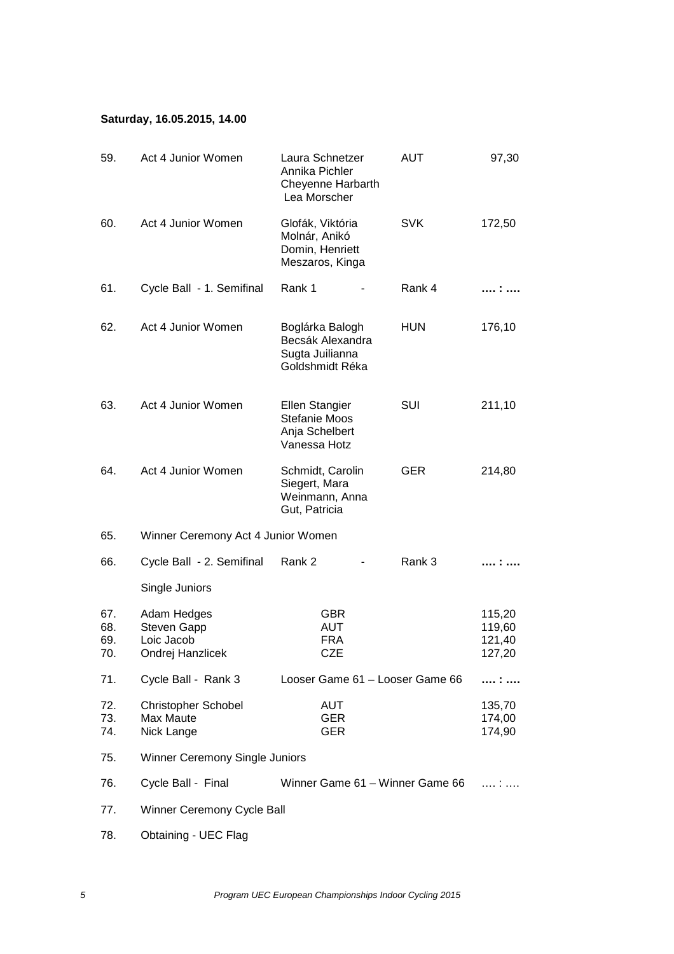## **Saturday, 16.05.2015, 14.00**

| 59.                      | Act 4 Junior Women                                                  | Laura Schnetzer<br>Annika Pichler<br>Cheyenne Harbarth<br>Lea Morscher    | <b>AUT</b> | 97,30                                |
|--------------------------|---------------------------------------------------------------------|---------------------------------------------------------------------------|------------|--------------------------------------|
| 60.                      | Act 4 Junior Women                                                  | Glofák, Viktória<br>Molnár, Anikó<br>Domin, Henriett<br>Meszaros, Kinga   | <b>SVK</b> | 172,50                               |
| 61.                      | Cycle Ball - 1. Semifinal                                           | Rank 1                                                                    | Rank 4     |                                      |
| 62.                      | Act 4 Junior Women                                                  | Boglárka Balogh<br>Becsák Alexandra<br>Sugta Juilianna<br>Goldshmidt Réka | <b>HUN</b> | 176,10                               |
| 63.                      | Act 4 Junior Women                                                  | Ellen Stangier<br><b>Stefanie Moos</b><br>Anja Schelbert<br>Vanessa Hotz  | SUI        | 211,10                               |
| 64.                      | Act 4 Junior Women                                                  | Schmidt, Carolin<br>Siegert, Mara<br>Weinmann, Anna<br>Gut, Patricia      | <b>GER</b> | 214,80                               |
| 65.                      | Winner Ceremony Act 4 Junior Women                                  |                                                                           |            |                                      |
| 66.                      | Cycle Ball - 2. Semifinal                                           | Rank 2                                                                    | Rank 3     |                                      |
|                          | Single Juniors                                                      |                                                                           |            |                                      |
| 67.<br>68.<br>69.<br>70. | Adam Hedges<br><b>Steven Gapp</b><br>Loic Jacob<br>Ondrej Hanzlicek | <b>GBR</b><br><b>AUT</b><br><b>FRA</b><br><b>CZE</b>                      |            | 115,20<br>119,60<br>121,40<br>127,20 |
| 71.                      | Cycle Ball - Rank 3                                                 | Looser Game 61 - Looser Game 66                                           |            | :                                    |
| 72.<br>73.<br>74.        | <b>Christopher Schobel</b><br>Max Maute<br>Nick Lange               | <b>AUT</b><br><b>GER</b><br><b>GER</b>                                    |            | 135,70<br>174,00<br>174,90           |
| 75.                      | Winner Ceremony Single Juniors                                      |                                                                           |            |                                      |
| 76.                      | Cycle Ball - Final                                                  | Winner Game 61 - Winner Game 66                                           |            | .                                    |
| 77.                      | Winner Ceremony Cycle Ball                                          |                                                                           |            |                                      |
| 78.                      | Obtaining - UEC Flag                                                |                                                                           |            |                                      |